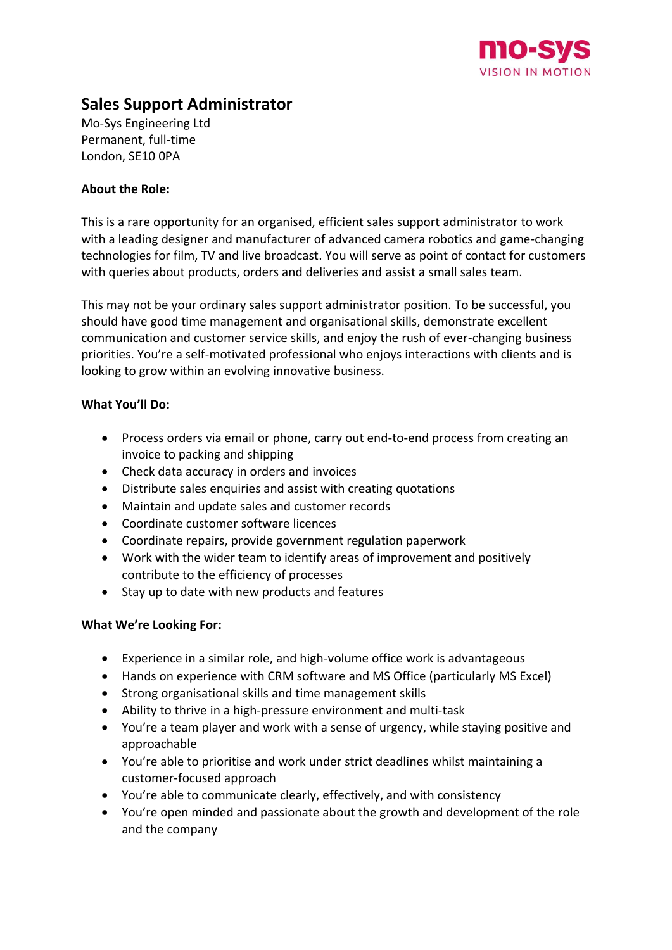

# **Sales Support Administrator**

Mo-Sys Engineering Ltd Permanent, full-time London, SE10 0PA

## **About the Role:**

This is a rare opportunity for an organised, efficient sales support administrator to work with a leading designer and manufacturer of advanced camera robotics and game-changing technologies for film, TV and live broadcast. You will serve as point of contact for customers with queries about products, orders and deliveries and assist a small sales team.

This may not be your ordinary sales support administrator position. To be successful, you should have good time management and organisational skills, demonstrate excellent communication and customer service skills, and enjoy the rush of ever-changing business priorities. You're a self-motivated professional who enjoys interactions with clients and is looking to grow within an evolving innovative business.

## **What You'll Do:**

- Process orders via email or phone, carry out end-to-end process from creating an invoice to packing and shipping
- Check data accuracy in orders and invoices
- Distribute sales enquiries and assist with creating quotations
- Maintain and update sales and customer records
- Coordinate customer software licences
- Coordinate repairs, provide government regulation paperwork
- Work with the wider team to identify areas of improvement and positively contribute to the efficiency of processes
- Stay up to date with new products and features

# **What We're Looking For:**

- Experience in a similar role, and high-volume office work is advantageous
- Hands on experience with CRM software and MS Office (particularly MS Excel)
- Strong organisational skills and time management skills
- Ability to thrive in a high-pressure environment and multi-task
- You're a team player and work with a sense of urgency, while staying positive and approachable
- You're able to prioritise and work under strict deadlines whilst maintaining a customer-focused approach
- You're able to communicate clearly, effectively, and with consistency
- You're open minded and passionate about the growth and development of the role and the company